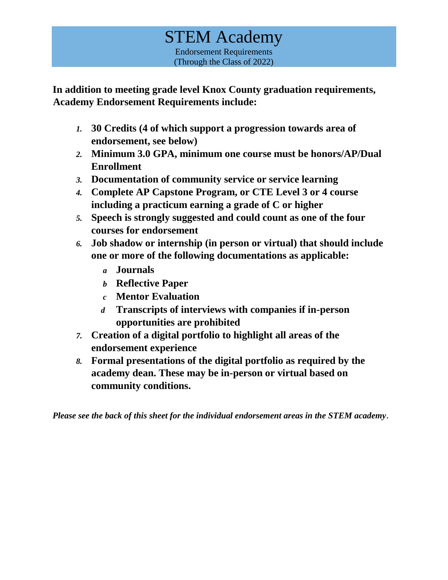# STEM Academy Endorsement Requirements (Through the Class of 2022)

**In addition to meeting grade level Knox County graduation requirements, Academy Endorsement Requirements include:** 

- *1.* **30 Credits (4 of which support a progression towards area of endorsement, see below)**
- *2.* **Minimum 3.0 GPA, minimum one course must be honors/AP/Dual Enrollment**
- *3.* **Documentation of community service or service learning**
- *4.* **Complete AP Capstone Program, or CTE Level 3 or 4 course including a practicum earning a grade of C or higher**
- *5.* **Speech is strongly suggested and could count as one of the four courses for endorsement**
- *6.* **Job shadow or internship (in person or virtual) that should include one or more of the following documentations as applicable:**
	- *a* **Journals**
	- *b* **Reflective Paper**
	- *c* **Mentor Evaluation**
	- *d* **Transcripts of interviews with companies if in-person opportunities are prohibited**
- *7.* **Creation of a digital portfolio to highlight all areas of the endorsement experience**
- *8.* **Formal presentations of the digital portfolio as required by the academy dean. These may be in-person or virtual based on community conditions.**

*Please see the back of this sheet for the individual endorsement areas in the STEM academy*.